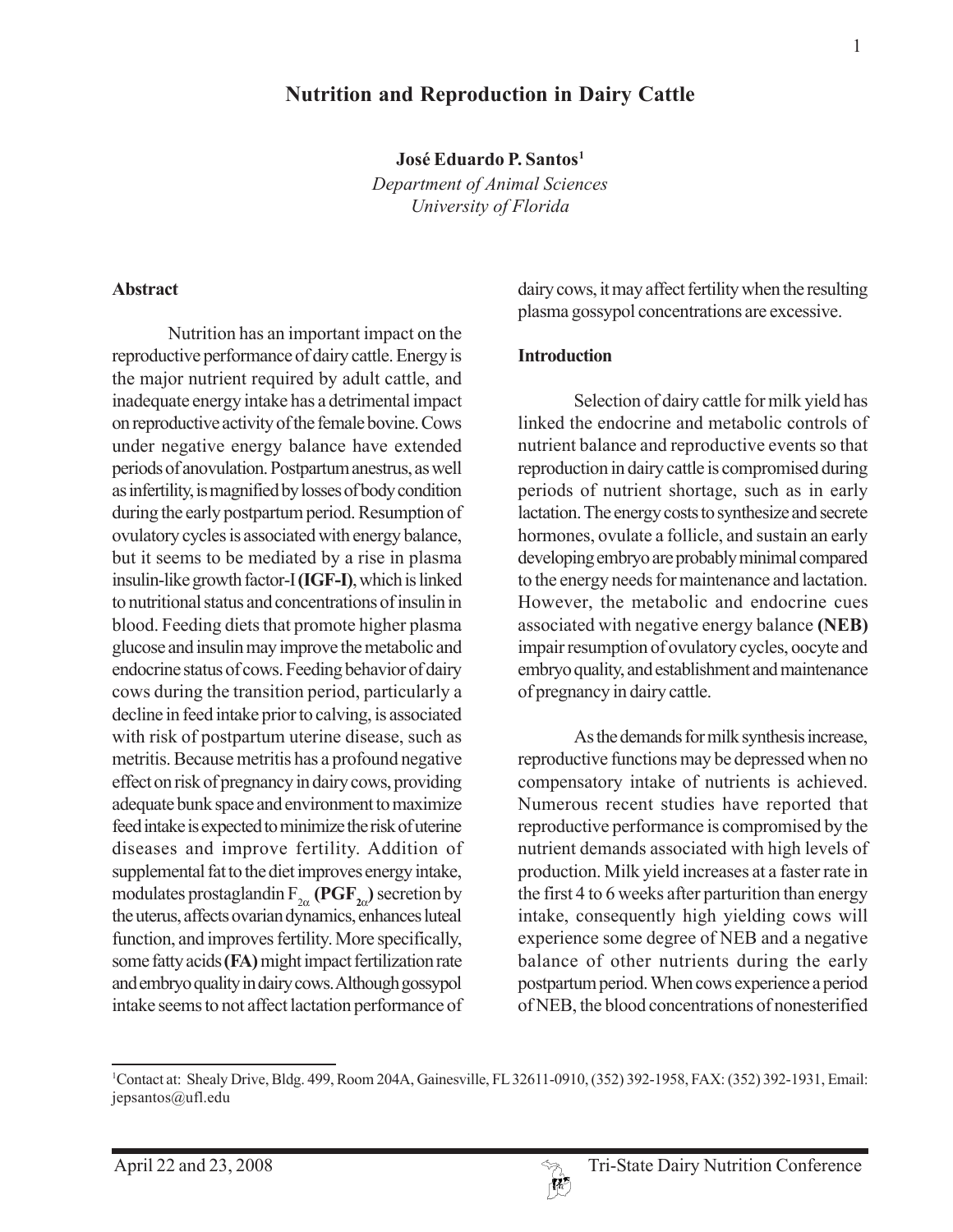# **Nutrition and Reproduction in Dairy Cattle**

**José Eduardo P. Santos1**

*Department of Animal Sciences University of Florida*

#### **Abstract**

Nutrition has an important impact on the reproductive performance of dairy cattle. Energy is the major nutrient required by adult cattle, and inadequate energy intake has a detrimental impact on reproductive activity of the female bovine. Cows under negative energy balance have extended periods of anovulation. Postpartum anestrus, as well as infertility, is magnified by losses of body condition during the early postpartum period. Resumption of ovulatory cycles is associated with energy balance, but it seems to be mediated by a rise in plasma insulin-like growth factor-I **(IGF-I)**, which is linked to nutritional status and concentrations of insulin in blood. Feeding diets that promote higher plasma glucose and insulin may improve the metabolic and endocrine status of cows. Feeding behavior of dairy cows during the transition period, particularly a decline in feed intake prior to calving, is associated with risk of postpartum uterine disease, such as metritis. Because metritis has a profound negative effect on risk of pregnancy in dairy cows, providing adequate bunk space and environment to maximize feed intake is expected to minimize the risk of uterine diseases and improve fertility. Addition of supplemental fat to the diet improves energy intake, modulates prostaglandin  $F_{2\alpha}$  **(PGF**<sub>2 $\alpha$ </sub>) secretion by the uterus, affects ovarian dynamics, enhances luteal function, and improves fertility. More specifically, some fatty acids **(FA)** might impact fertilization rate and embryo quality in dairy cows. Although gossypol intake seems to not affect lactation performance of

dairy cows, it may affect fertility when the resulting plasma gossypol concentrations are excessive.

#### **Introduction**

Selection of dairy cattle for milk yield has linked the endocrine and metabolic controls of nutrient balance and reproductive events so that reproduction in dairy cattle is compromised during periods of nutrient shortage, such as in early lactation. The energy costs to synthesize and secrete hormones, ovulate a follicle, and sustain an early developing embryo are probably minimal compared to the energy needs for maintenance and lactation. However, the metabolic and endocrine cues associated with negative energy balance **(NEB)** impair resumption of ovulatory cycles, oocyte and embryo quality, and establishment and maintenance of pregnancy in dairy cattle.

As the demands for milk synthesis increase, reproductive functions may be depressed when no compensatory intake of nutrients is achieved. Numerous recent studies have reported that reproductive performance is compromised by the nutrient demands associated with high levels of production. Milk yield increases at a faster rate in the first 4 to 6 weeks after parturition than energy intake, consequently high yielding cows will experience some degree of NEB and a negative balance of other nutrients during the early postpartum period. When cows experience a period of NEB, the blood concentrations of nonesterified

<sup>1</sup> Contact at: Shealy Drive, Bldg. 499, Room 204A, Gainesville, FL 32611-0910, (352) 392-1958, FAX: (352) 392-1931, Email: jepsantos@ufl.edu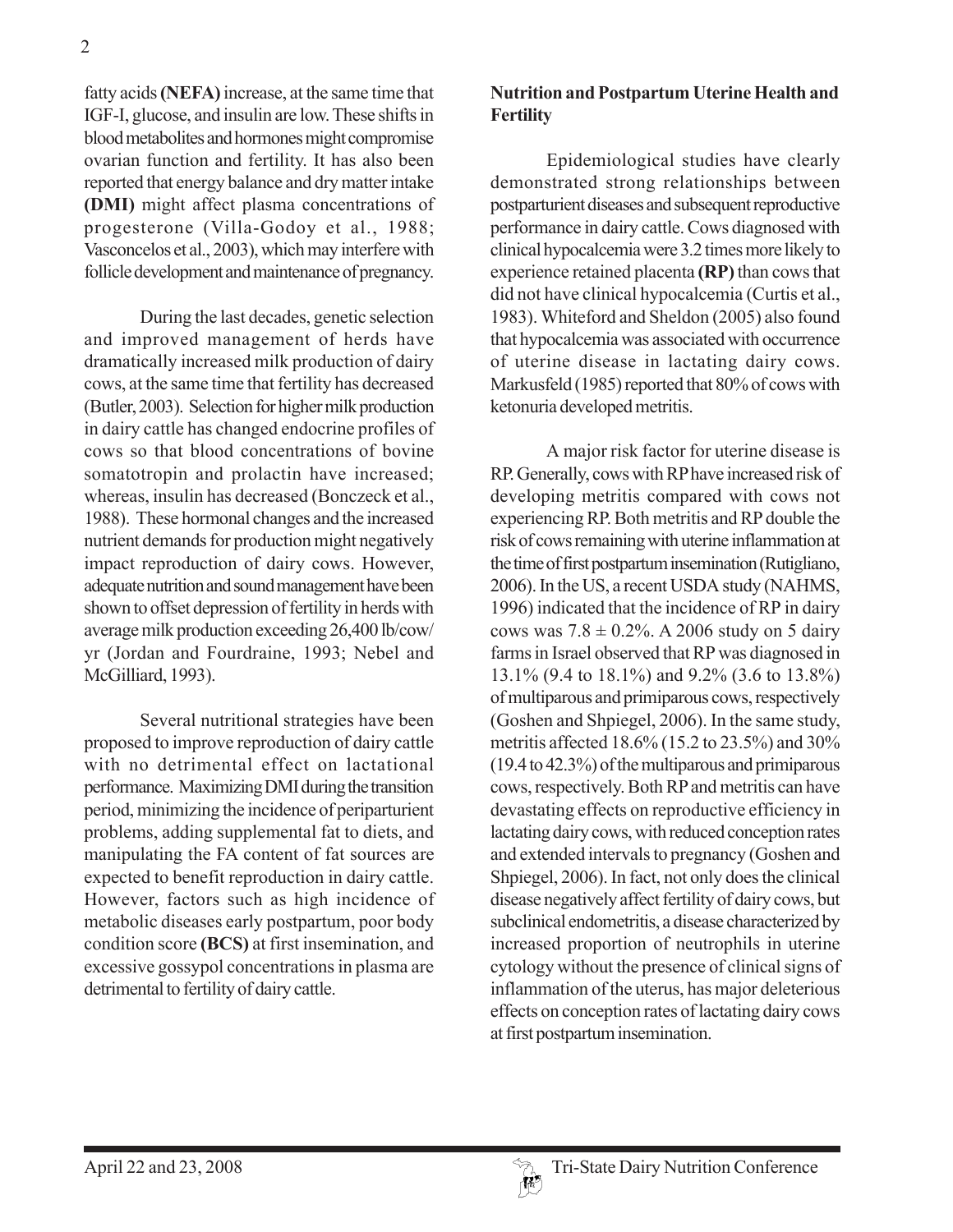fatty acids **(NEFA)** increase, at the same time that IGF-I, glucose, and insulin are low. These shifts in blood metabolites and hormones might compromise ovarian function and fertility. It has also been reported that energy balance and dry matter intake **(DMI)** might affect plasma concentrations of progesterone (Villa-Godoy et al., 1988; Vasconcelos et al., 2003), which may interfere with follicle development and maintenance of pregnancy.

During the last decades, genetic selection and improved management of herds have dramatically increased milk production of dairy cows, at the same time that fertility has decreased (Butler, 2003). Selection for higher milk production in dairy cattle has changed endocrine profiles of cows so that blood concentrations of bovine somatotropin and prolactin have increased; whereas, insulin has decreased (Bonczeck et al., 1988). These hormonal changes and the increased nutrient demands for production might negatively impact reproduction of dairy cows. However, adequate nutrition and sound management have been shown to offset depression of fertility in herds with average milk production exceeding 26,400 lb/cow/ yr (Jordan and Fourdraine, 1993; Nebel and McGilliard, 1993).

Several nutritional strategies have been proposed to improve reproduction of dairy cattle with no detrimental effect on lactational performance. Maximizing DMI during the transition period, minimizing the incidence of periparturient problems, adding supplemental fat to diets, and manipulating the FA content of fat sources are expected to benefit reproduction in dairy cattle. However, factors such as high incidence of metabolic diseases early postpartum, poor body condition score **(BCS)** at first insemination, and excessive gossypol concentrations in plasma are detrimental to fertility of dairy cattle.

## **Nutrition and Postpartum Uterine Health and Fertility**

Epidemiological studies have clearly demonstrated strong relationships between postparturient diseases and subsequent reproductive performance in dairy cattle. Cows diagnosed with clinical hypocalcemia were 3.2 times more likely to experience retained placenta **(RP)** than cows that did not have clinical hypocalcemia (Curtis et al., 1983). Whiteford and Sheldon (2005) also found that hypocalcemia was associated with occurrence of uterine disease in lactating dairy cows. Markusfeld (1985) reported that 80% of cows with ketonuria developed metritis.

A major risk factor for uterine disease is RP. Generally, cows with RP have increased risk of developing metritis compared with cows not experiencing RP. Both metritis and RP double the risk of cows remaining with uterine inflammation at the time of first postpartum insemination (Rutigliano, 2006). In the US, a recent USDA study (NAHMS, 1996) indicated that the incidence of RP in dairy cows was  $7.8 \pm 0.2\%$ . A 2006 study on 5 dairy farms in Israel observed that RP was diagnosed in 13.1% (9.4 to 18.1%) and 9.2% (3.6 to 13.8%) of multiparous and primiparous cows, respectively (Goshen and Shpiegel, 2006). In the same study, metritis affected 18.6% (15.2 to 23.5%) and 30% (19.4 to 42.3%) of the multiparous and primiparous cows, respectively. Both RP and metritis can have devastating effects on reproductive efficiency in lactating dairy cows, with reduced conception rates and extended intervals to pregnancy (Goshen and Shpiegel, 2006). In fact, not only does the clinical disease negatively affect fertility of dairy cows, but subclinical endometritis, a disease characterized by increased proportion of neutrophils in uterine cytology without the presence of clinical signs of inflammation of the uterus, has major deleterious effects on conception rates of lactating dairy cows at first postpartum insemination.

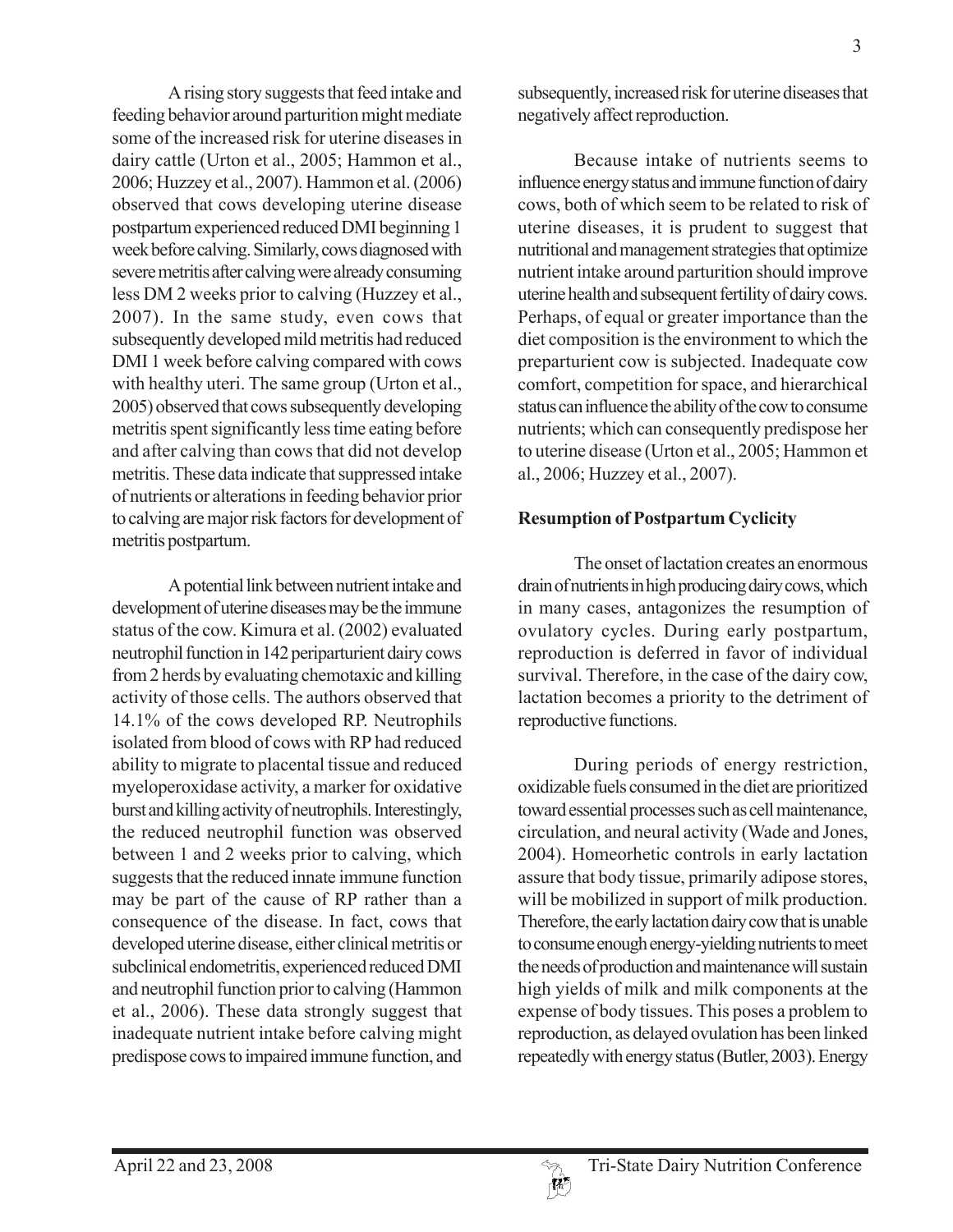A rising story suggests that feed intake and feeding behavior around parturition might mediate some of the increased risk for uterine diseases in dairy cattle (Urton et al., 2005; Hammon et al., 2006; Huzzey et al., 2007). Hammon et al. (2006) observed that cows developing uterine disease postpartum experienced reduced DMI beginning 1 week before calving. Similarly, cows diagnosed with severe metritis after calving were already consuming less DM 2 weeks prior to calving (Huzzey et al., 2007). In the same study, even cows that subsequently developed mild metritis had reduced DMI 1 week before calving compared with cows with healthy uteri. The same group (Urton et al., 2005) observed that cows subsequently developing metritis spent significantly less time eating before and after calving than cows that did not develop metritis. These data indicate that suppressed intake of nutrients or alterations in feeding behavior prior to calving are major risk factors for development of metritis postpartum.

A potential link between nutrient intake and development of uterine diseases may be the immune status of the cow. Kimura et al. (2002) evaluated neutrophil function in 142 periparturient dairy cows from 2 herds by evaluating chemotaxic and killing activity of those cells. The authors observed that 14.1% of the cows developed RP. Neutrophils isolated from blood of cows with RP had reduced ability to migrate to placental tissue and reduced myeloperoxidase activity, a marker for oxidative burst and killing activity of neutrophils. Interestingly, the reduced neutrophil function was observed between 1 and 2 weeks prior to calving, which suggests that the reduced innate immune function may be part of the cause of RP rather than a consequence of the disease. In fact, cows that developed uterine disease, either clinical metritis or subclinical endometritis, experienced reduced DMI and neutrophil function prior to calving (Hammon et al., 2006). These data strongly suggest that inadequate nutrient intake before calving might predispose cows to impaired immune function, and

subsequently, increased risk for uterine diseases that negatively affect reproduction.

Because intake of nutrients seems to influence energy status and immune function of dairy cows, both of which seem to be related to risk of uterine diseases, it is prudent to suggest that nutritional and management strategies that optimize nutrient intake around parturition should improve uterine health and subsequent fertility of dairy cows. Perhaps, of equal or greater importance than the diet composition is the environment to which the preparturient cow is subjected. Inadequate cow comfort, competition for space, and hierarchical status can influence the ability of the cow to consume nutrients; which can consequently predispose her to uterine disease (Urton et al., 2005; Hammon et al., 2006; Huzzey et al., 2007).

# **Resumption of Postpartum Cyclicity**

The onset of lactation creates an enormous drain of nutrients in high producing dairy cows, which in many cases, antagonizes the resumption of ovulatory cycles. During early postpartum, reproduction is deferred in favor of individual survival. Therefore, in the case of the dairy cow, lactation becomes a priority to the detriment of reproductive functions.

During periods of energy restriction, oxidizable fuels consumed in the diet are prioritized toward essential processes such as cell maintenance, circulation, and neural activity (Wade and Jones, 2004). Homeorhetic controls in early lactation assure that body tissue, primarily adipose stores, will be mobilized in support of milk production. Therefore, the early lactation dairy cow that is unable to consume enough energy-yielding nutrients to meet the needs of production and maintenance will sustain high yields of milk and milk components at the expense of body tissues. This poses a problem to reproduction, as delayed ovulation has been linked repeatedly with energy status (Butler, 2003). Energy

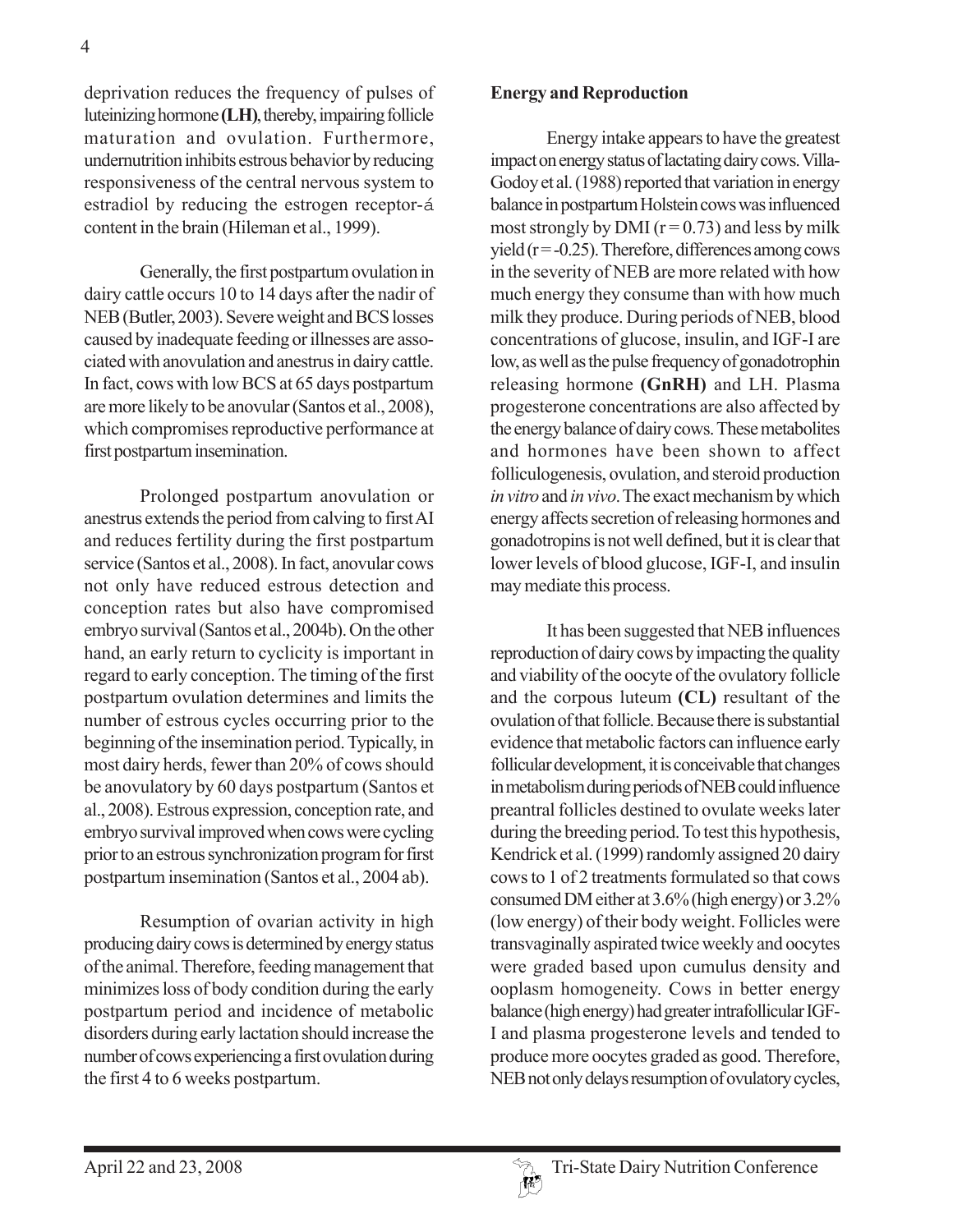deprivation reduces the frequency of pulses of luteinizing hormone **(LH)**, thereby, impairing follicle maturation and ovulation. Furthermore, undernutrition inhibits estrous behavior by reducing responsiveness of the central nervous system to estradiol by reducing the estrogen receptor-á content in the brain (Hileman et al., 1999).

Generally, the first postpartum ovulation in dairy cattle occurs 10 to 14 days after the nadir of NEB (Butler, 2003). Severe weight and BCS losses caused by inadequate feeding or illnesses are associated with anovulation and anestrus in dairy cattle. In fact, cows with low BCS at 65 days postpartum are more likely to be anovular (Santos et al., 2008), which compromises reproductive performance at first postpartum insemination.

Prolonged postpartum anovulation or anestrus extends the period from calving to first AI and reduces fertility during the first postpartum service (Santos et al., 2008). In fact, anovular cows not only have reduced estrous detection and conception rates but also have compromised embryo survival (Santos et al., 2004b). On the other hand, an early return to cyclicity is important in regard to early conception. The timing of the first postpartum ovulation determines and limits the number of estrous cycles occurring prior to the beginning of the insemination period. Typically, in most dairy herds, fewer than 20% of cows should be anovulatory by 60 days postpartum (Santos et al., 2008). Estrous expression, conception rate, and embryo survival improved when cows were cycling prior to an estrous synchronization program for first postpartum insemination (Santos et al., 2004 ab).

Resumption of ovarian activity in high producing dairy cows is determined by energy status of the animal. Therefore, feeding management that minimizes loss of body condition during the early postpartum period and incidence of metabolic disorders during early lactation should increase the number of cows experiencing a first ovulation during the first 4 to 6 weeks postpartum.

#### **Energy and Reproduction**

Energy intake appears to have the greatest impact on energy status of lactating dairy cows. Villa-Godoy et al. (1988) reported that variation in energy balance in postpartum Holstein cows was influenced most strongly by DMI ( $r = 0.73$ ) and less by milk yield  $(r = -0.25)$ . Therefore, differences among cows in the severity of NEB are more related with how much energy they consume than with how much milk they produce. During periods of NEB, blood concentrations of glucose, insulin, and IGF-I are low, as well as the pulse frequency of gonadotrophin releasing hormone **(GnRH)** and LH. Plasma progesterone concentrations are also affected by the energy balance of dairy cows. These metabolites and hormones have been shown to affect folliculogenesis, ovulation, and steroid production *in vitro* and *in vivo*. The exact mechanism by which energy affects secretion of releasing hormones and gonadotropins is not well defined, but it is clear that lower levels of blood glucose, IGF-I, and insulin may mediate this process.

It has been suggested that NEB influences reproduction of dairy cows by impacting the quality and viability of the oocyte of the ovulatory follicle and the corpous luteum **(CL)** resultant of the ovulation of that follicle. Because there is substantial evidence that metabolic factors can influence early follicular development, it is conceivable that changes in metabolism during periods of NEB could influence preantral follicles destined to ovulate weeks later during the breeding period. To test this hypothesis, Kendrick et al. (1999) randomly assigned 20 dairy cows to 1 of 2 treatments formulated so that cows consumed DM either at 3.6% (high energy) or 3.2% (low energy) of their body weight. Follicles were transvaginally aspirated twice weekly and oocytes were graded based upon cumulus density and ooplasm homogeneity. Cows in better energy balance (high energy) had greater intrafollicular IGF-I and plasma progesterone levels and tended to produce more oocytes graded as good. Therefore, NEB not only delays resumption of ovulatory cycles,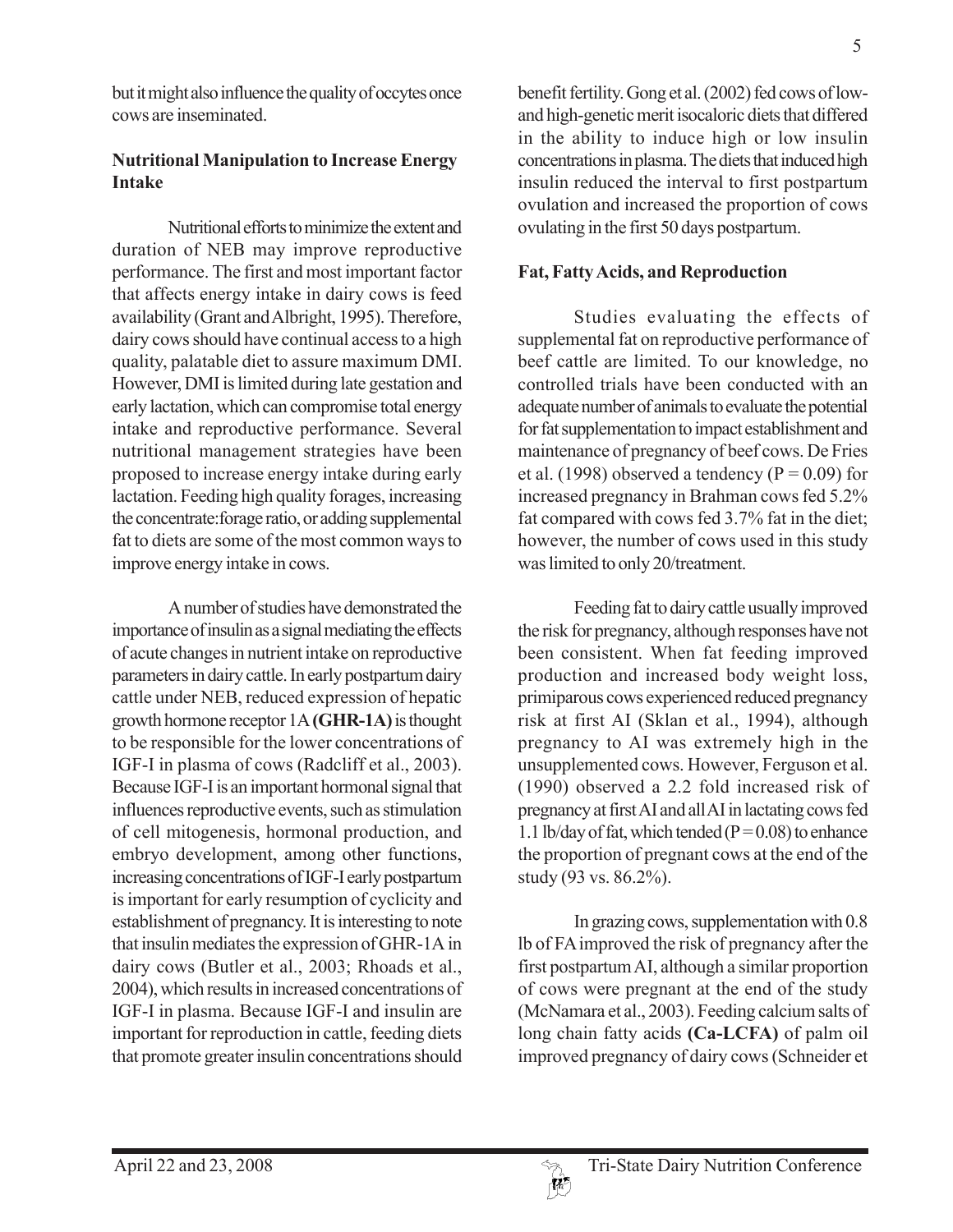but it might also influence the quality of occytes once cows are inseminated.

# **Nutritional Manipulation to Increase Energy Intake**

Nutritional efforts to minimize the extent and duration of NEB may improve reproductive performance. The first and most important factor that affects energy intake in dairy cows is feed availability (Grant and Albright, 1995). Therefore, dairy cows should have continual access to a high quality, palatable diet to assure maximum DMI. However, DMI is limited during late gestation and early lactation, which can compromise total energy intake and reproductive performance. Several nutritional management strategies have been proposed to increase energy intake during early lactation. Feeding high quality forages, increasing the concentrate:forage ratio, or adding supplemental fat to diets are some of the most common ways to improve energy intake in cows.

A number of studies have demonstrated the importance of insulin as a signal mediating the effects of acute changes in nutrient intake on reproductive parameters in dairy cattle. In early postpartum dairy cattle under NEB, reduced expression of hepatic growth hormone receptor 1A **(GHR-1A)** is thought to be responsible for the lower concentrations of IGF-I in plasma of cows (Radcliff et al., 2003). Because IGF-I is an important hormonal signal that influences reproductive events, such as stimulation of cell mitogenesis, hormonal production, and embryo development, among other functions, increasing concentrations of IGF-I early postpartum is important for early resumption of cyclicity and establishment of pregnancy. It is interesting to note that insulin mediates the expression of GHR-1A in dairy cows (Butler et al., 2003; Rhoads et al., 2004), which results in increased concentrations of IGF-I in plasma. Because IGF-I and insulin are important for reproduction in cattle, feeding diets that promote greater insulin concentrations should benefit fertility. Gong et al. (2002) fed cows of lowand high-genetic merit isocaloric diets that differed in the ability to induce high or low insulin concentrations in plasma. The diets that induced high insulin reduced the interval to first postpartum ovulation and increased the proportion of cows ovulating in the first 50 days postpartum.

## **Fat, Fatty Acids, and Reproduction**

Studies evaluating the effects of supplemental fat on reproductive performance of beef cattle are limited. To our knowledge, no controlled trials have been conducted with an adequate number of animals to evaluate the potential for fat supplementation to impact establishment and maintenance of pregnancy of beef cows. De Fries et al. (1998) observed a tendency ( $P = 0.09$ ) for increased pregnancy in Brahman cows fed 5.2% fat compared with cows fed 3.7% fat in the diet; however, the number of cows used in this study was limited to only 20/treatment.

Feeding fat to dairy cattle usually improved the risk for pregnancy, although responses have not been consistent. When fat feeding improved production and increased body weight loss, primiparous cows experienced reduced pregnancy risk at first AI (Sklan et al., 1994), although pregnancy to AI was extremely high in the unsupplemented cows. However, Ferguson et al. (1990) observed a 2.2 fold increased risk of pregnancy at first AI and all AI in lactating cows fed 1.1 lb/day of fat, which tended ( $P = 0.08$ ) to enhance the proportion of pregnant cows at the end of the study (93 vs. 86.2%).

In grazing cows, supplementation with 0.8 lb of FA improved the risk of pregnancy after the first postpartum AI, although a similar proportion of cows were pregnant at the end of the study (McNamara et al., 2003). Feeding calcium salts of long chain fatty acids **(Ca-LCFA)** of palm oil improved pregnancy of dairy cows (Schneider et

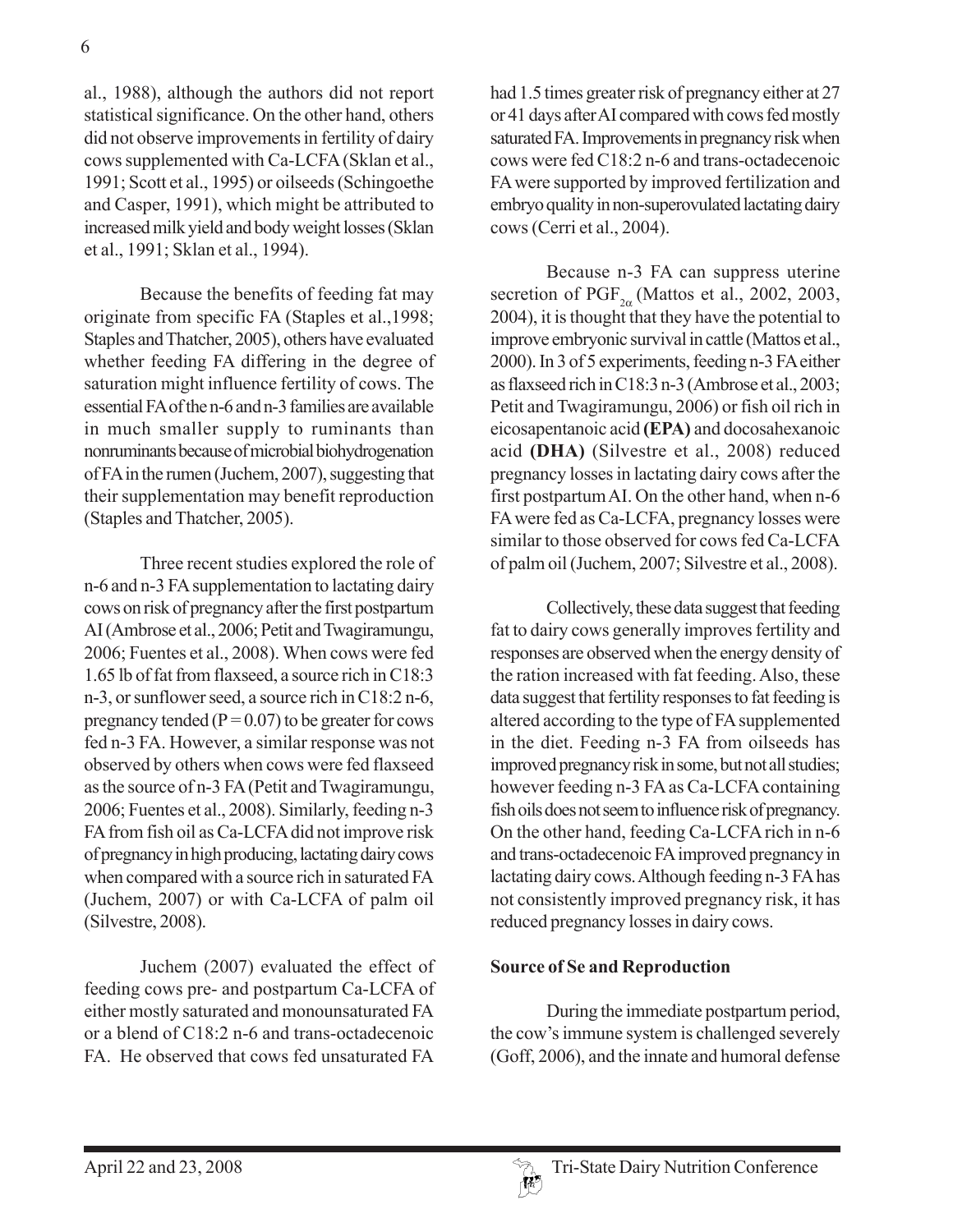al., 1988), although the authors did not report statistical significance. On the other hand, others did not observe improvements in fertility of dairy cows supplemented with Ca-LCFA (Sklan et al., 1991; Scott et al., 1995) or oilseeds (Schingoethe and Casper, 1991), which might be attributed to increased milk yield and body weight losses (Sklan et al., 1991; Sklan et al., 1994).

Because the benefits of feeding fat may originate from specific FA (Staples et al.,1998; Staples and Thatcher, 2005), others have evaluated whether feeding FA differing in the degree of saturation might influence fertility of cows. The essential FA of the n-6 and n-3 families are available in much smaller supply to ruminants than nonruminants because of microbial biohydrogenation of FA in the rumen (Juchem, 2007), suggesting that their supplementation may benefit reproduction (Staples and Thatcher, 2005).

Three recent studies explored the role of n-6 and n-3 FA supplementation to lactating dairy cows on risk of pregnancy after the first postpartum AI (Ambrose et al., 2006; Petit and Twagiramungu, 2006; Fuentes et al., 2008). When cows were fed 1.65 lb of fat from flaxseed, a source rich in C18:3 n-3, or sunflower seed, a source rich in C18:2 n-6, pregnancy tended ( $P = 0.07$ ) to be greater for cows fed n-3 FA. However, a similar response was not observed by others when cows were fed flaxseed as the source of n-3 FA (Petit and Twagiramungu, 2006; Fuentes et al., 2008). Similarly, feeding n-3 FA from fish oil as Ca-LCFA did not improve risk of pregnancy in high producing, lactating dairy cows when compared with a source rich in saturated FA (Juchem, 2007) or with Ca-LCFA of palm oil (Silvestre, 2008).

Juchem (2007) evaluated the effect of feeding cows pre- and postpartum Ca-LCFA of either mostly saturated and monounsaturated FA or a blend of C18:2 n-6 and trans-octadecenoic FA. He observed that cows fed unsaturated FA

had 1.5 times greater risk of pregnancy either at 27 or 41 days after AI compared with cows fed mostly saturated FA. Improvements in pregnancy risk when cows were fed C18:2 n-6 and trans-octadecenoic FA were supported by improved fertilization and embryo quality in non-superovulated lactating dairy cows (Cerri et al., 2004).

Because n-3 FA can suppress uterine secretion of PGF<sub>2 $\alpha$ </sub> (Mattos et al., 2002, 2003, 2004), it is thought that they have the potential to improve embryonic survival in cattle (Mattos et al., 2000). In 3 of 5 experiments, feeding n-3 FA either as flaxseed rich in C18:3 n-3 (Ambrose et al., 2003; Petit and Twagiramungu, 2006) or fish oil rich in eicosapentanoic acid **(EPA)** and docosahexanoic acid **(DHA)** (Silvestre et al., 2008) reduced pregnancy losses in lactating dairy cows after the first postpartum AI. On the other hand, when n-6 FA were fed as Ca-LCFA, pregnancy losses were similar to those observed for cows fed Ca-LCFA of palm oil (Juchem, 2007; Silvestre et al., 2008).

Collectively, these data suggest that feeding fat to dairy cows generally improves fertility and responses are observed when the energy density of the ration increased with fat feeding. Also, these data suggest that fertility responses to fat feeding is altered according to the type of FA supplemented in the diet. Feeding n-3 FA from oilseeds has improved pregnancy risk in some, but not all studies; however feeding n-3 FA as Ca-LCFA containing fish oils does not seem to influence risk of pregnancy. On the other hand, feeding Ca-LCFA rich in n-6 and trans-octadecenoic FA improved pregnancy in lactating dairy cows. Although feeding n-3 FA has not consistently improved pregnancy risk, it has reduced pregnancy losses in dairy cows.

## **Source of Se and Reproduction**

During the immediate postpartum period, the cow's immune system is challenged severely (Goff, 2006), and the innate and humoral defense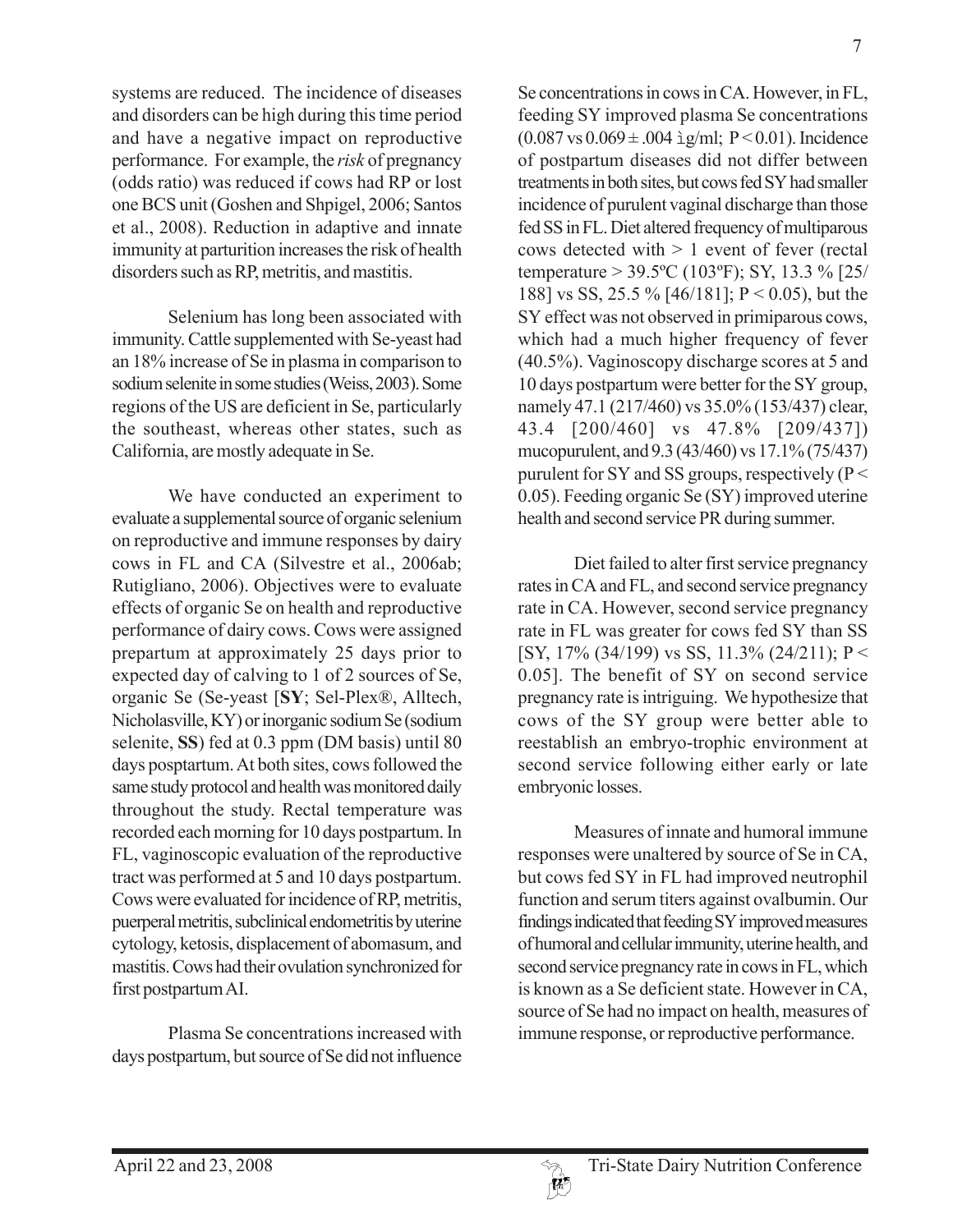systems are reduced. The incidence of diseases and disorders can be high during this time period and have a negative impact on reproductive performance. For example, the *risk* of pregnancy (odds ratio) was reduced if cows had RP or lost one BCS unit (Goshen and Shpigel, 2006; Santos et al., 2008). Reduction in adaptive and innate immunity at parturition increases the risk of health disorders such as RP, metritis, and mastitis.

Selenium has long been associated with immunity. Cattle supplemented with Se-yeast had an 18% increase of Se in plasma in comparison to sodium selenite in some studies (Weiss, 2003). Some regions of the US are deficient in Se, particularly the southeast, whereas other states, such as California, are mostly adequate in Se.

We have conducted an experiment to evaluate a supplemental source of organic selenium on reproductive and immune responses by dairy cows in FL and CA (Silvestre et al., 2006ab; Rutigliano, 2006). Objectives were to evaluate effects of organic Se on health and reproductive performance of dairy cows. Cows were assigned prepartum at approximately 25 days prior to expected day of calving to 1 of 2 sources of Se, organic Se (Se-yeast [**SY**; Sel-Plex®, Alltech, Nicholasville, KY) or inorganic sodium Se (sodium selenite, **SS**) fed at 0.3 ppm (DM basis) until 80 days posptartum. At both sites, cows followed the same study protocol and health was monitored daily throughout the study. Rectal temperature was recorded each morning for 10 days postpartum. In FL, vaginoscopic evaluation of the reproductive tract was performed at 5 and 10 days postpartum. Cows were evaluated for incidence of RP, metritis, puerperal metritis, subclinical endometritis by uterine cytology, ketosis, displacement of abomasum, and mastitis. Cows had their ovulation synchronized for first postpartum AI.

Plasma Se concentrations increased with days postpartum, but source of Se did not influence Se concentrations in cows in CA. However, in FL, feeding SY improved plasma Se concentrations  $(0.087 \text{ vs } 0.069 \pm .004 \text{ i} \text{g/ml}; P < 0.01)$ . Incidence of postpartum diseases did not differ between treatments in both sites, but cows fed SY had smaller incidence of purulent vaginal discharge than those fed SS in FL. Diet altered frequency of multiparous cows detected with > 1 event of fever (rectal temperature > 39.5ºC (103ºF); SY, 13.3 % [25/ 188] vs SS, 25.5 % [46/181]; P < 0.05), but the SY effect was not observed in primiparous cows, which had a much higher frequency of fever (40.5%). Vaginoscopy discharge scores at 5 and 10 days postpartum were better for the SY group, namely 47.1 (217/460) vs 35.0% (153/437) clear, 43.4 [200/460] vs 47.8% [209/437]) mucopurulent, and 9.3 (43/460) vs 17.1% (75/437) purulent for SY and SS groups, respectively ( $P <$ 0.05). Feeding organic Se (SY) improved uterine health and second service PR during summer.

Diet failed to alter first service pregnancy rates in CA and FL, and second service pregnancy rate in CA. However, second service pregnancy rate in FL was greater for cows fed SY than SS [SY, 17% (34/199) vs SS, 11.3% (24/211); P < 0.05]. The benefit of SY on second service pregnancy rate is intriguing. We hypothesize that cows of the SY group were better able to reestablish an embryo-trophic environment at second service following either early or late embryonic losses.

Measures of innate and humoral immune responses were unaltered by source of Se in CA, but cows fed SY in FL had improved neutrophil function and serum titers against ovalbumin. Our findings indicated that feeding SY improved measures of humoral and cellular immunity, uterine health, and second service pregnancy rate in cows in FL, which is known as a Se deficient state. However in CA, source of Se had no impact on health, measures of immune response, or reproductive performance.

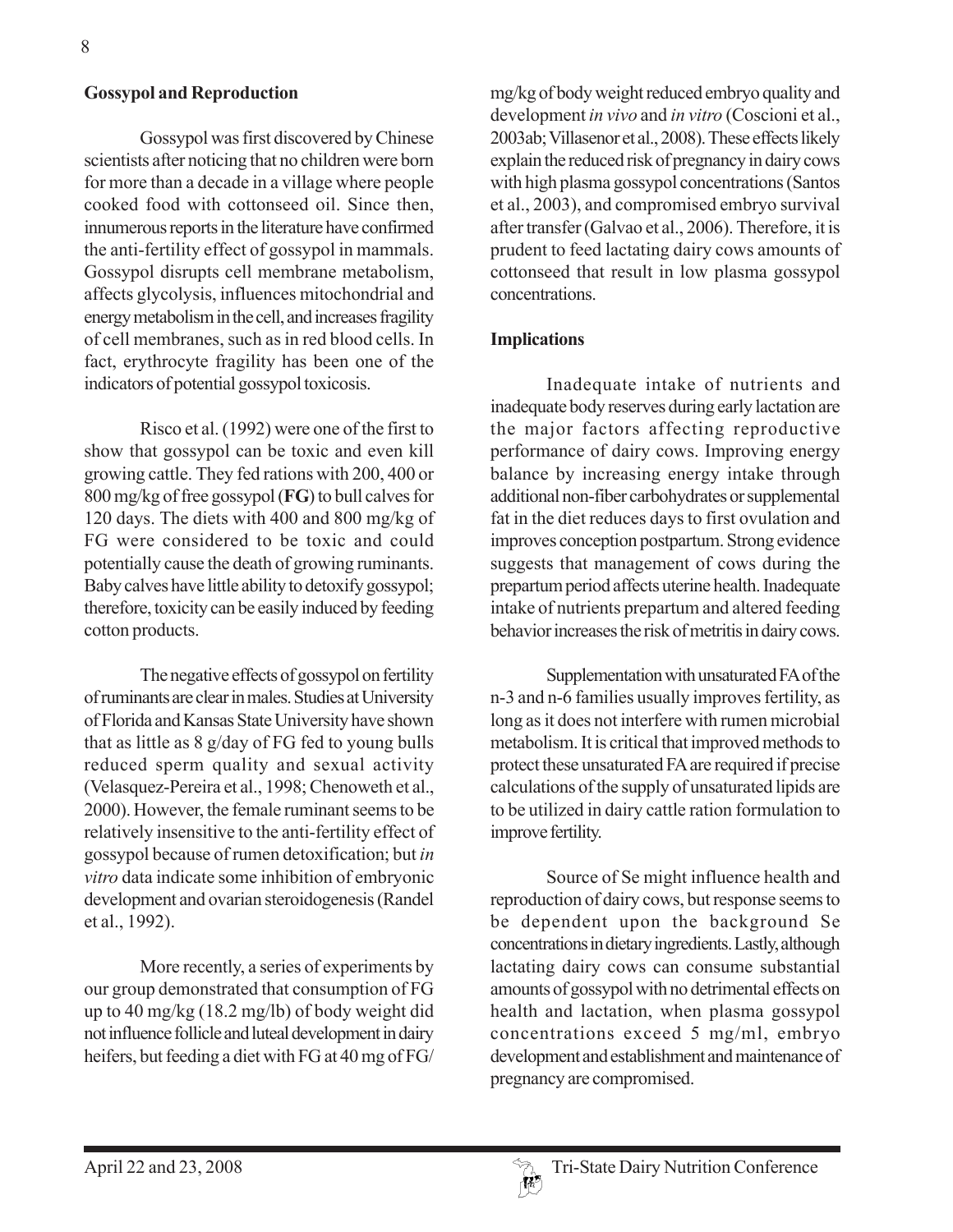### **Gossypol and Reproduction**

Gossypol was first discovered by Chinese scientists after noticing that no children were born for more than a decade in a village where people cooked food with cottonseed oil. Since then, innumerous reports in the literature have confirmed the anti-fertility effect of gossypol in mammals. Gossypol disrupts cell membrane metabolism, affects glycolysis, influences mitochondrial and energy metabolism in the cell, and increases fragility of cell membranes, such as in red blood cells. In fact, erythrocyte fragility has been one of the indicators of potential gossypol toxicosis.

Risco et al. (1992) were one of the first to show that gossypol can be toxic and even kill growing cattle. They fed rations with 200, 400 or 800 mg/kg of free gossypol (**FG**) to bull calves for 120 days. The diets with 400 and 800 mg/kg of FG were considered to be toxic and could potentially cause the death of growing ruminants. Baby calves have little ability to detoxify gossypol; therefore, toxicity can be easily induced by feeding cotton products.

The negative effects of gossypol on fertility of ruminants are clear in males. Studies at University of Florida and Kansas State University have shown that as little as 8 g/day of FG fed to young bulls reduced sperm quality and sexual activity (Velasquez-Pereira et al., 1998; Chenoweth et al., 2000). However, the female ruminant seems to be relatively insensitive to the anti-fertility effect of gossypol because of rumen detoxification; but *in vitro* data indicate some inhibition of embryonic development and ovarian steroidogenesis (Randel et al., 1992).

More recently, a series of experiments by our group demonstrated that consumption of FG up to 40 mg/kg (18.2 mg/lb) of body weight did not influence follicle and luteal development in dairy heifers, but feeding a diet with FG at 40 mg of FG/ mg/kg of body weight reduced embryo quality and development *in vivo* and *in vitro* (Coscioni et al., 2003ab; Villasenor et al., 2008). These effects likely explain the reduced risk of pregnancy in dairy cows with high plasma gossypol concentrations (Santos et al., 2003), and compromised embryo survival after transfer (Galvao et al., 2006). Therefore, it is prudent to feed lactating dairy cows amounts of cottonseed that result in low plasma gossypol concentrations.

#### **Implications**

Inadequate intake of nutrients and inadequate body reserves during early lactation are the major factors affecting reproductive performance of dairy cows. Improving energy balance by increasing energy intake through additional non-fiber carbohydrates or supplemental fat in the diet reduces days to first ovulation and improves conception postpartum. Strong evidence suggests that management of cows during the prepartum period affects uterine health. Inadequate intake of nutrients prepartum and altered feeding behavior increases the risk of metritis in dairy cows.

Supplementation with unsaturated FA of the n-3 and n-6 families usually improves fertility, as long as it does not interfere with rumen microbial metabolism. It is critical that improved methods to protect these unsaturated FA are required if precise calculations of the supply of unsaturated lipids are to be utilized in dairy cattle ration formulation to improve fertility.

Source of Se might influence health and reproduction of dairy cows, but response seems to be dependent upon the background Se concentrations in dietary ingredients. Lastly, although lactating dairy cows can consume substantial amounts of gossypol with no detrimental effects on health and lactation, when plasma gossypol concentrations exceed 5 mg/ml, embryo development and establishment and maintenance of pregnancy are compromised.

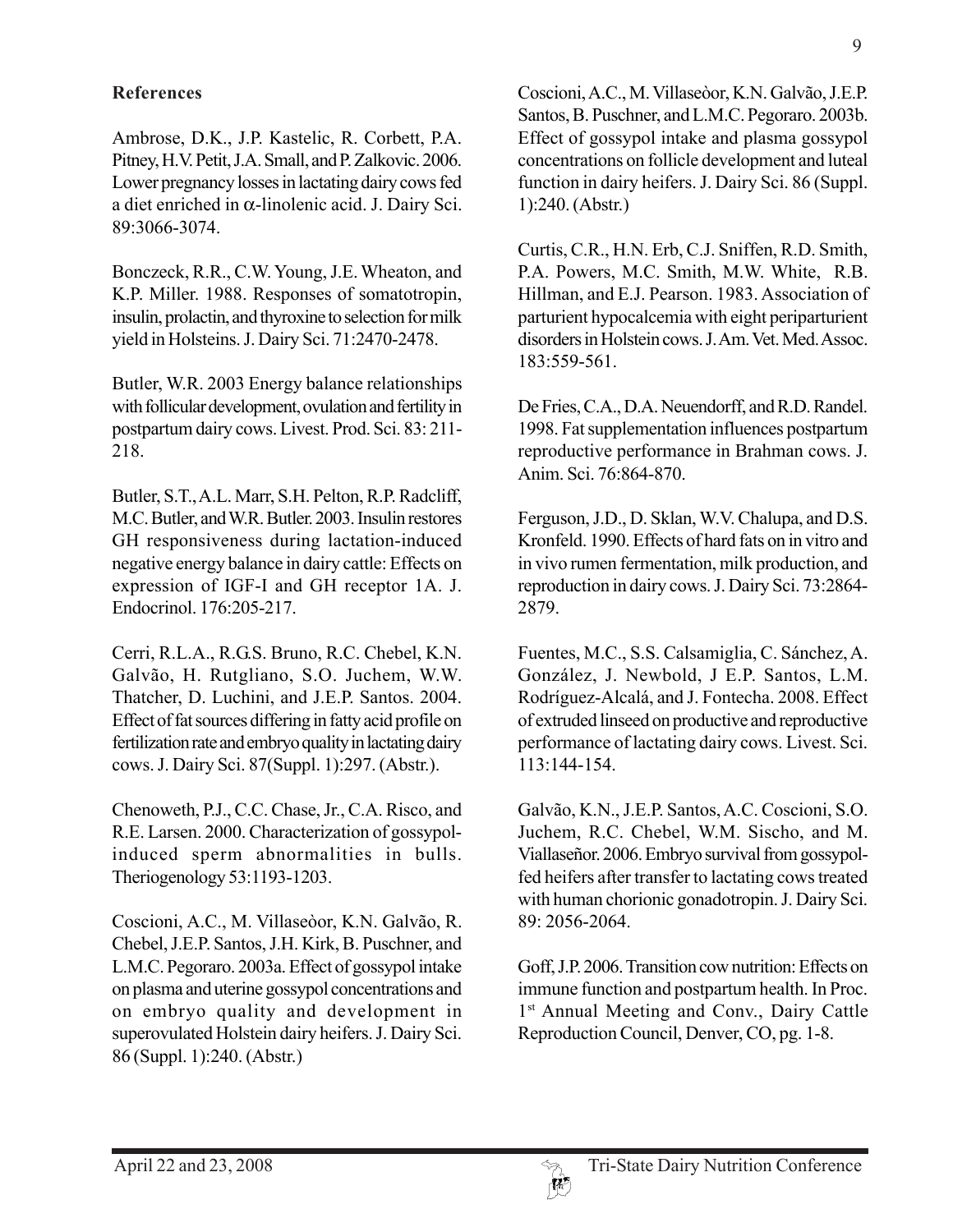# **References**

Ambrose, D.K., J.P. Kastelic, R. Corbett, P.A. Pitney, H.V. Petit, J.A. Small, and P. Zalkovic. 2006. Lower pregnancy losses in lactating dairy cows fed a diet enriched in α-linolenic acid. J. Dairy Sci. 89:3066-3074.

Bonczeck, R.R., C.W. Young, J.E. Wheaton, and K.P. Miller. 1988. Responses of somatotropin, insulin, prolactin, and thyroxine to selection for milk yield in Holsteins. J. Dairy Sci. 71:2470-2478.

Butler, W.R. 2003 Energy balance relationships with follicular development, ovulation and fertility in postpartum dairy cows. Livest. Prod. Sci. 83: 211- 218.

Butler, S.T., A.L. Marr, S.H. Pelton, R.P. Radcliff, M.C. Butler, and W.R. Butler. 2003. Insulin restores GH responsiveness during lactation-induced negative energy balance in dairy cattle: Effects on expression of IGF-I and GH receptor 1A. J. Endocrinol. 176:205-217.

Cerri, R.L.A., R.G.S. Bruno, R.C. Chebel, K.N. Galvão, H. Rutgliano, S.O. Juchem, W.W. Thatcher, D. Luchini, and J.E.P. Santos. 2004. Effect of fat sources differing in fatty acid profile on fertilization rate and embryo quality in lactating dairy cows. J. Dairy Sci. 87(Suppl. 1):297. (Abstr.).

Chenoweth, P.J., C.C. Chase, Jr., C.A. Risco, and R.E. Larsen. 2000. Characterization of gossypolinduced sperm abnormalities in bulls. Theriogenology 53:1193-1203.

Coscioni, A.C., M. Villaseòor, K.N. Galvão, R. Chebel, J.E.P. Santos, J.H. Kirk, B. Puschner, and L.M.C. Pegoraro. 2003a. Effect of gossypol intake on plasma and uterine gossypol concentrations and on embryo quality and development in superovulated Holstein dairy heifers. J. Dairy Sci. 86 (Suppl. 1):240. (Abstr.)

Coscioni, A.C., M. Villaseòor, K.N. Galvão, J.E.P. Santos, B. Puschner, and L.M.C. Pegoraro. 2003b. Effect of gossypol intake and plasma gossypol concentrations on follicle development and luteal function in dairy heifers. J. Dairy Sci. 86 (Suppl. 1):240. (Abstr.)

Curtis, C.R., H.N. Erb, C.J. Sniffen, R.D. Smith, P.A. Powers, M.C. Smith, M.W. White, R.B. Hillman, and E.J. Pearson. 1983. Association of parturient hypocalcemia with eight periparturient disorders in Holstein cows. J. Am. Vet. Med. Assoc. 183:559-561.

De Fries, C.A., D.A. Neuendorff, and R.D. Randel. 1998. Fat supplementation influences postpartum reproductive performance in Brahman cows. J. Anim. Sci. 76:864-870.

Ferguson, J.D., D. Sklan, W.V. Chalupa, and D.S. Kronfeld. 1990. Effects of hard fats on in vitro and in vivo rumen fermentation, milk production, and reproduction in dairy cows. J. Dairy Sci. 73:2864- 2879.

Fuentes, M.C., S.S. Calsamiglia, C. Sánchez, A. González, J. Newbold, J E.P. Santos, L.M. Rodríguez-Alcalá, and J. Fontecha. 2008. Effect of extruded linseed on productive and reproductive performance of lactating dairy cows. Livest. Sci. 113:144-154.

Galvão, K.N., J.E.P. Santos, A.C. Coscioni, S.O. Juchem, R.C. Chebel, W.M. Sischo, and M. Viallaseñor. 2006. Embryo survival from gossypolfed heifers after transfer to lactating cows treated with human chorionic gonadotropin. J. Dairy Sci. 89: 2056-2064.

Goff, J.P. 2006. Transition cow nutrition: Effects on immune function and postpartum health. In Proc. 1<sup>st</sup> Annual Meeting and Conv., Dairy Cattle Reproduction Council, Denver, CO, pg. 1-8.

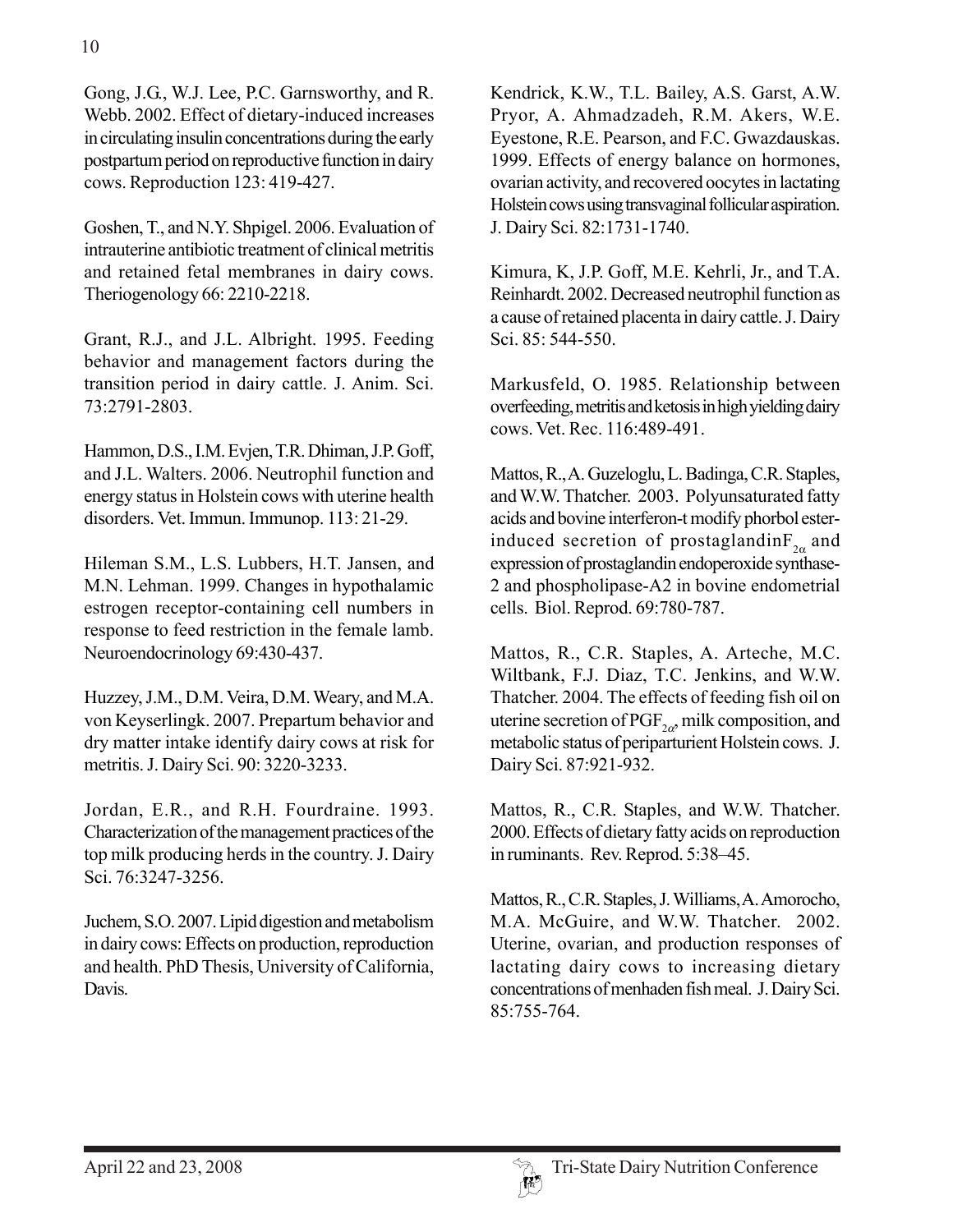Gong, J.G., W.J. Lee, P.C. Garnsworthy, and R. Webb. 2002. Effect of dietary-induced increases in circulating insulin concentrations during the early postpartum period on reproductive function in dairy cows. Reproduction 123: 419-427.

Goshen, T., and N.Y. Shpigel. 2006. Evaluation of intrauterine antibiotic treatment of clinical metritis and retained fetal membranes in dairy cows. Theriogenology 66: 2210-2218.

Grant, R.J., and J.L. Albright. 1995. Feeding behavior and management factors during the transition period in dairy cattle. J. Anim. Sci. 73:2791-2803.

Hammon, D.S., I.M. Evjen, T.R. Dhiman, J.P. Goff, and J.L. Walters. 2006. Neutrophil function and energy status in Holstein cows with uterine health disorders. Vet. Immun. Immunop. 113: 21-29.

Hileman S.M., L.S. Lubbers, H.T. Jansen, and M.N. Lehman. 1999. Changes in hypothalamic estrogen receptor-containing cell numbers in response to feed restriction in the female lamb. Neuroendocrinology 69:430-437.

Huzzey, J.M., D.M. Veira, D.M. Weary, and M.A. von Keyserlingk. 2007. Prepartum behavior and dry matter intake identify dairy cows at risk for metritis. J. Dairy Sci. 90: 3220-3233.

Jordan, E.R., and R.H. Fourdraine. 1993. Characterization of the management practices of the top milk producing herds in the country. J. Dairy Sci. 76:3247-3256.

Juchem, S.O. 2007. Lipid digestion and metabolism in dairy cows: Effects on production, reproduction and health. PhD Thesis, University of California, Davis.

Kendrick, K.W., T.L. Bailey, A.S. Garst, A.W. Pryor, A. Ahmadzadeh, R.M. Akers, W.E. Eyestone, R.E. Pearson, and F.C. Gwazdauskas. 1999. Effects of energy balance on hormones, ovarian activity, and recovered oocytes in lactating Holstein cows using transvaginal follicular aspiration. J. Dairy Sci. 82:1731-1740.

Kimura, K, J.P. Goff, M.E. Kehrli, Jr., and T.A. Reinhardt. 2002. Decreased neutrophil function as a cause of retained placenta in dairy cattle. J. Dairy Sci. 85: 544-550.

Markusfeld, O. 1985. Relationship between overfeeding, metritis and ketosis in high yielding dairy cows. Vet. Rec. 116:489-491.

Mattos, R., A. Guzeloglu, L. Badinga, C.R. Staples, and W.W. Thatcher. 2003. Polyunsaturated fatty acids and bovine interferon-t modify phorbol esterinduced secretion of prostaglandin $F_{2\alpha}$  and expression of prostaglandin endoperoxide synthase-2 and phospholipase-A2 in bovine endometrial cells. Biol. Reprod. 69:780-787.

Mattos, R., C.R. Staples, A. Arteche, M.C. Wiltbank, F.J. Diaz, T.C. Jenkins, and W.W. Thatcher. 2004. The effects of feeding fish oil on uterine secretion of PGF<sub>2 $\alpha$ </sub>, milk composition, and metabolic status of periparturient Holstein cows. J. Dairy Sci. 87:921-932.

Mattos, R., C.R. Staples, and W.W. Thatcher. 2000. Effects of dietary fatty acids on reproduction in ruminants. Rev. Reprod. 5:38–45.

Mattos, R., C.R. Staples, J. Williams, A. Amorocho, M.A. McGuire, and W.W. Thatcher. 2002. Uterine, ovarian, and production responses of lactating dairy cows to increasing dietary concentrations of menhaden fish meal. J. Dairy Sci. 85:755-764.

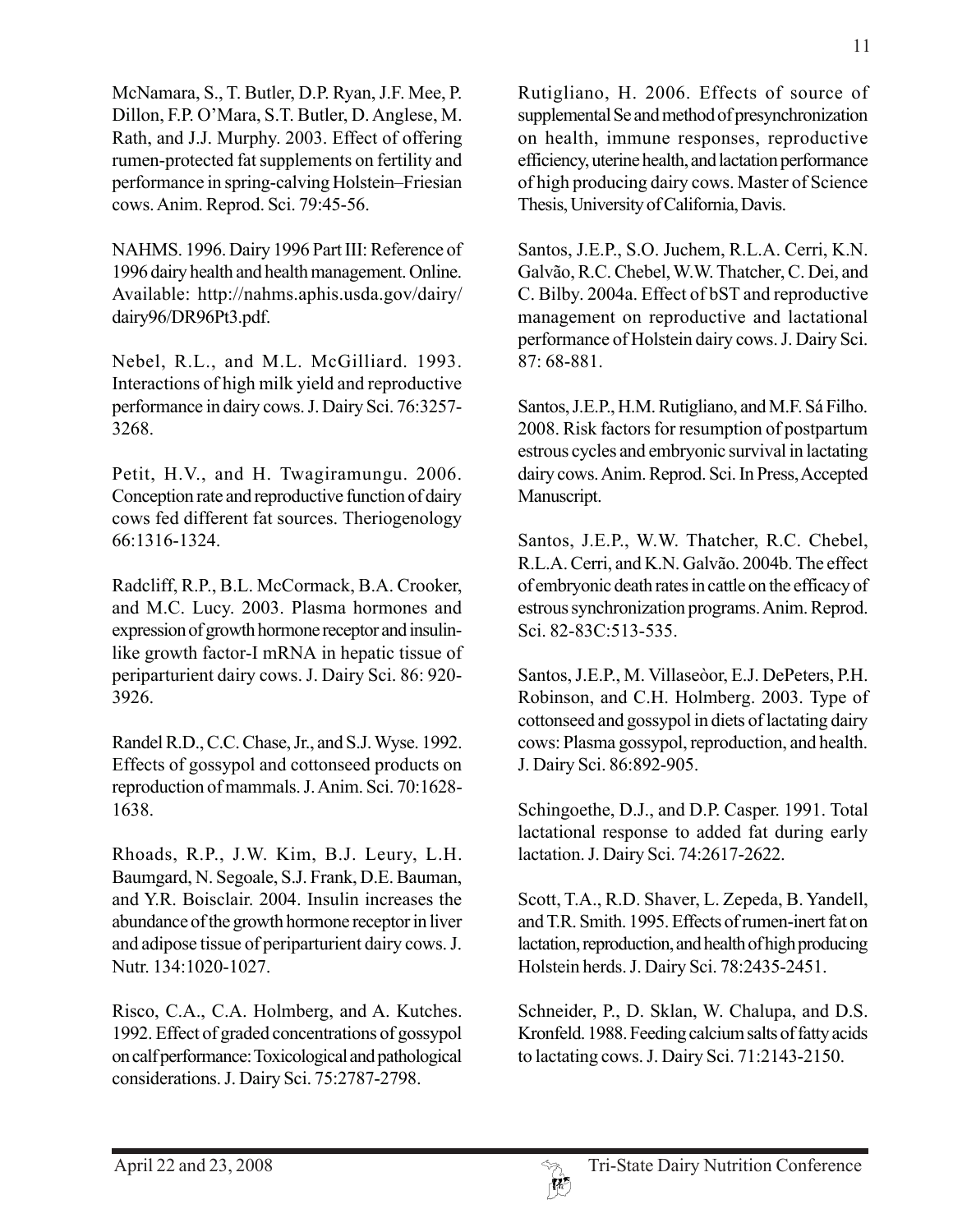McNamara, S., T. Butler, D.P. Ryan, J.F. Mee, P. Dillon, F.P. O'Mara, S.T. Butler, D. Anglese, M. Rath, and J.J. Murphy. 2003. Effect of offering rumen-protected fat supplements on fertility and performance in spring-calving Holstein–Friesian cows. Anim. Reprod. Sci. 79:45-56.

NAHMS. 1996. Dairy 1996 Part III: Reference of 1996 dairy health and health management. Online. Available: http://nahms.aphis.usda.gov/dairy/ dairy96/DR96Pt3.pdf.

Nebel, R.L., and M.L. McGilliard. 1993. Interactions of high milk yield and reproductive performance in dairy cows. J. Dairy Sci. 76:3257- 3268.

Petit, H.V., and H. Twagiramungu. 2006. Conception rate and reproductive function of dairy cows fed different fat sources. Theriogenology 66:1316-1324.

Radcliff, R.P., B.L. McCormack, B.A. Crooker, and M.C. Lucy. 2003. Plasma hormones and expression of growth hormone receptor and insulinlike growth factor-I mRNA in hepatic tissue of periparturient dairy cows. J. Dairy Sci. 86: 920- 3926.

Randel R.D., C.C. Chase, Jr., and S.J. Wyse. 1992. Effects of gossypol and cottonseed products on reproduction of mammals. J. Anim. Sci. 70:1628- 1638.

Rhoads, R.P., J.W. Kim, B.J. Leury, L.H. Baumgard, N. Segoale, S.J. Frank, D.E. Bauman, and Y.R. Boisclair. 2004. Insulin increases the abundance of the growth hormone receptor in liver and adipose tissue of periparturient dairy cows. J. Nutr. 134:1020-1027.

Risco, C.A., C.A. Holmberg, and A. Kutches. 1992. Effect of graded concentrations of gossypol on calf performance: Toxicological and pathological considerations. J. Dairy Sci. 75:2787-2798.

Rutigliano, H. 2006. Effects of source of supplemental Se and method of presynchronization on health, immune responses, reproductive efficiency, uterine health, and lactation performance of high producing dairy cows. Master of Science Thesis, University of California, Davis.

Santos, J.E.P., S.O. Juchem, R.L.A. Cerri, K.N. Galvão, R.C. Chebel, W.W. Thatcher, C. Dei, and C. Bilby. 2004a. Effect of bST and reproductive management on reproductive and lactational performance of Holstein dairy cows. J. Dairy Sci. 87: 68-881.

Santos, J.E.P., H.M. Rutigliano, and M.F. Sá Filho. 2008. Risk factors for resumption of postpartum estrous cycles and embryonic survival in lactating dairy cows. Anim. Reprod. Sci. In Press, Accepted Manuscript.

Santos, J.E.P., W.W. Thatcher, R.C. Chebel, R.L.A. Cerri, and K.N. Galvão. 2004b. The effect of embryonic death rates in cattle on the efficacy of estrous synchronization programs. Anim. Reprod. Sci. 82-83C:513-535.

Santos, J.E.P., M. Villaseòor, E.J. DePeters, P.H. Robinson, and C.H. Holmberg. 2003. Type of cottonseed and gossypol in diets of lactating dairy cows: Plasma gossypol, reproduction, and health. J. Dairy Sci. 86:892-905.

Schingoethe, D.J., and D.P. Casper. 1991. Total lactational response to added fat during early lactation. J. Dairy Sci. 74:2617-2622.

Scott, T.A., R.D. Shaver, L. Zepeda, B. Yandell, and T.R. Smith. 1995. Effects of rumen-inert fat on lactation, reproduction, and health of high producing Holstein herds. J. Dairy Sci. 78:2435-2451.

Schneider, P., D. Sklan, W. Chalupa, and D.S. Kronfeld. 1988. Feeding calcium salts of fatty acids to lactating cows. J. Dairy Sci. 71:2143-2150.